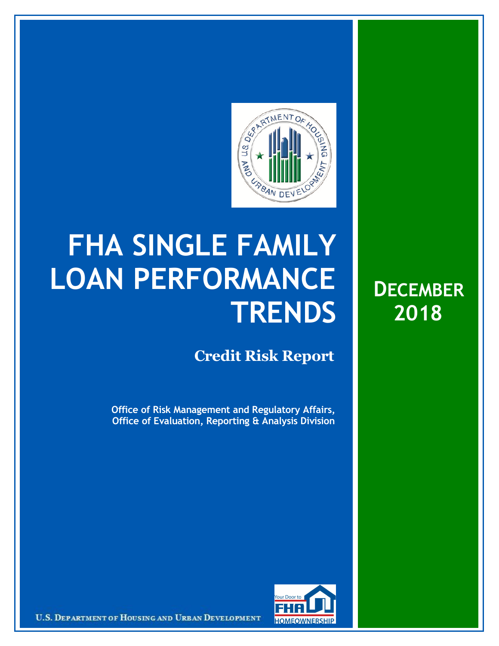

## **FHA SINGLE FAMILY LOAN PERFORMANCE TRENDS**

## **Credit Risk Report**

**Office of Risk Management and Regulatory Affairs, Office of Evaluation, Reporting & Analysis Division**





U.S. DEPARTMENT OF HOUSING AND URBAN DEVELOPMENT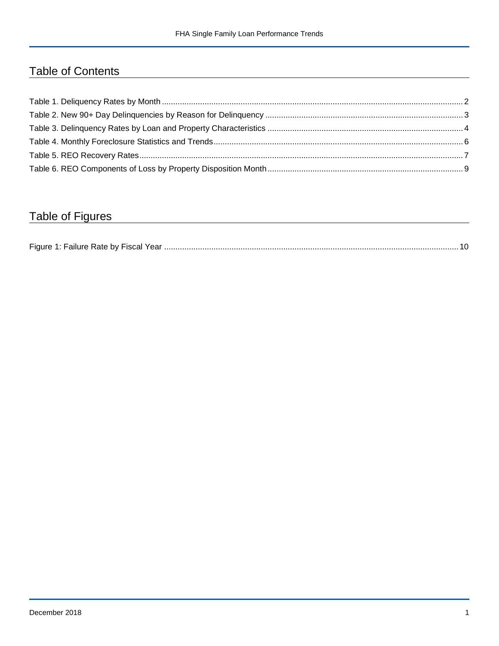## Table of Contents

## Table of Figures

| Figure 1 |  |
|----------|--|
|----------|--|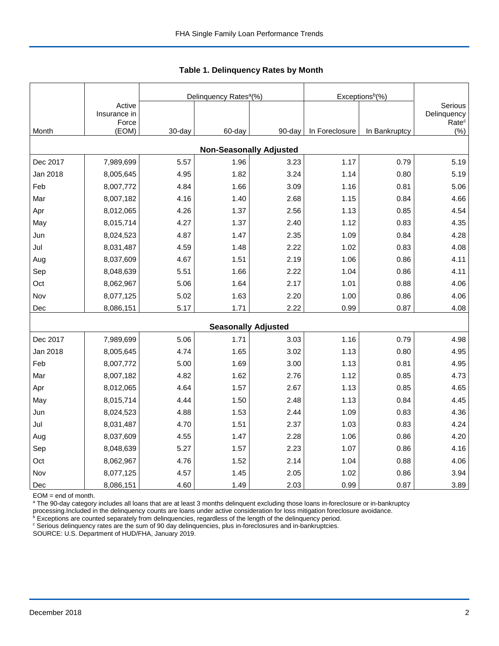|          |                        |        | Delinquency Rates <sup>a</sup> (%) |        | Exceptions <sup>b</sup> (%) |               |                          |
|----------|------------------------|--------|------------------------------------|--------|-----------------------------|---------------|--------------------------|
|          | Active<br>Insurance in |        |                                    |        |                             |               | Serious<br>Delinquency   |
| Month    | Force<br>(EOM)         | 30-day | 60-day                             | 90-day | In Foreclosure              | In Bankruptcy | Rate <sup>c</sup><br>(%) |
|          |                        |        | <b>Non-Seasonally Adjusted</b>     |        |                             |               |                          |
| Dec 2017 | 7,989,699              | 5.57   | 1.96                               | 3.23   | 1.17                        | 0.79          | 5.19                     |
| Jan 2018 | 8,005,645              | 4.95   | 1.82                               | 3.24   | 1.14                        | 0.80          | 5.19                     |
| Feb      | 8,007,772              | 4.84   | 1.66                               | 3.09   | 1.16                        | 0.81          | 5.06                     |
| Mar      | 8,007,182              | 4.16   | 1.40                               | 2.68   | 1.15                        | 0.84          | 4.66                     |
| Apr      | 8,012,065              | 4.26   | 1.37                               | 2.56   | 1.13                        | 0.85          | 4.54                     |
| May      | 8,015,714              | 4.27   | 1.37                               | 2.40   | 1.12                        | 0.83          | 4.35                     |
| Jun      | 8,024,523              | 4.87   | 1.47                               | 2.35   | 1.09                        | 0.84          | 4.28                     |
| Jul      | 8,031,487              | 4.59   | 1.48                               | 2.22   | 1.02                        | 0.83          | 4.08                     |
| Aug      | 8,037,609              | 4.67   | 1.51                               | 2.19   | 1.06                        | 0.86          | 4.11                     |
| Sep      | 8,048,639              | 5.51   | 1.66                               | 2.22   | 1.04                        | 0.86          | 4.11                     |
| Oct      | 8,062,967              | 5.06   | 1.64                               | 2.17   | 1.01                        | 0.88          | 4.06                     |
| Nov      | 8,077,125              | 5.02   | 1.63                               | 2.20   | 1.00                        | 0.86          | 4.06                     |
| Dec      | 8,086,151              | 5.17   | 1.71                               | 2.22   | 0.99                        | 0.87          | 4.08                     |
|          |                        |        | <b>Seasonally Adjusted</b>         |        |                             |               |                          |
| Dec 2017 | 7,989,699              | 5.06   | 1.71                               | 3.03   | 1.16                        | 0.79          | 4.98                     |
| Jan 2018 | 8,005,645              | 4.74   | 1.65                               | 3.02   | 1.13                        | 0.80          | 4.95                     |
| Feb      | 8,007,772              | 5.00   | 1.69                               | 3.00   | 1.13                        | 0.81          | 4.95                     |
| Mar      | 8,007,182              | 4.82   | 1.62                               | 2.76   | 1.12                        | 0.85          | 4.73                     |
| Apr      | 8,012,065              | 4.64   | 1.57                               | 2.67   | 1.13                        | 0.85          | 4.65                     |
| May      | 8,015,714              | 4.44   | 1.50                               | 2.48   | 1.13                        | 0.84          | 4.45                     |
| Jun      | 8,024,523              | 4.88   | 1.53                               | 2.44   | 1.09                        | 0.83          | 4.36                     |
| Jul      | 8,031,487              | 4.70   | 1.51                               | 2.37   | 1.03                        | 0.83          | 4.24                     |
| Aug      | 8,037,609              | 4.55   | 1.47                               | 2.28   | 1.06                        | 0.86          | 4.20                     |
| Sep      | 8,048,639              | 5.27   | 1.57                               | 2.23   | 1.07                        | 0.86          | 4.16                     |
| Oct      | 8,062,967              | 4.76   | 1.52                               | 2.14   | 1.04                        | 0.88          | 4.06                     |
| Nov      | 8,077,125              | 4.57   | 1.45                               | 2.05   | 1.02                        | 0.86          | 3.94                     |
| Dec      | 8,086,151              | 4.60   | 1.49                               | 2.03   | 0.99                        | 0.87          | 3.89                     |

 **Table 1. Delinquency Rates by Month**

EOM = end of month.

<sup>a</sup> The 90-day category includes all loans that are at least 3 months delinquent excluding those loans in-foreclosure or in-bankruptcy

processing.Included in the delinquency counts are loans under active consideration for loss mitigation foreclosure avoidance.<br><sup>b</sup> Exceptions are counted separately from delinquencies, regardless of the length of the delinq

<sup>c</sup> Serious delinquency rates are the sum of 90 day delinquencies, plus in-foreclosures and in-bankruptcies.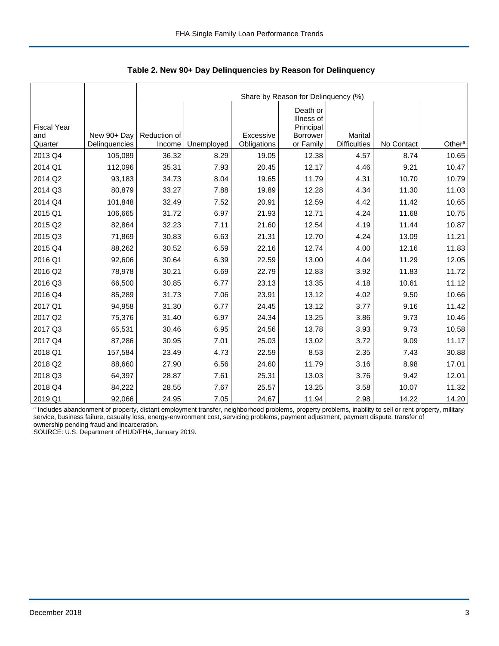|                                      |                              |                        | Share by Reason for Delinquency (%) |                          |                                                              |                                |            |                    |  |  |  |  |
|--------------------------------------|------------------------------|------------------------|-------------------------------------|--------------------------|--------------------------------------------------------------|--------------------------------|------------|--------------------|--|--|--|--|
| <b>Fiscal Year</b><br>and<br>Quarter | New 90+ Day<br>Delinquencies | Reduction of<br>Income | Unemployed                          | Excessive<br>Obligations | Death or<br>Illness of<br>Principal<br>Borrower<br>or Family | Marital<br><b>Difficulties</b> | No Contact | Other <sup>a</sup> |  |  |  |  |
| 2013 Q4                              | 105,089                      | 36.32                  | 8.29                                | 19.05                    | 12.38                                                        | 4.57                           | 8.74       | 10.65              |  |  |  |  |
| 2014 Q1                              | 112,096                      | 35.31                  | 7.93                                | 20.45                    | 12.17                                                        | 4.46                           | 9.21       | 10.47              |  |  |  |  |
| 2014 Q2                              | 93,183                       | 34.73                  | 8.04                                | 19.65                    | 11.79                                                        | 4.31                           | 10.70      | 10.79              |  |  |  |  |
| 2014 Q3                              | 80,879                       | 33.27                  | 7.88                                | 19.89                    | 12.28                                                        | 4.34                           | 11.30      | 11.03              |  |  |  |  |
| 2014 Q4                              | 101,848                      | 32.49                  | 7.52                                | 20.91                    | 12.59                                                        | 4.42                           | 11.42      | 10.65              |  |  |  |  |
|                                      |                              |                        |                                     |                          |                                                              |                                |            |                    |  |  |  |  |
| 2015 Q1                              | 106,665                      | 31.72                  | 6.97                                | 21.93                    | 12.71                                                        | 4.24                           | 11.68      | 10.75              |  |  |  |  |
| 2015 Q2                              | 82,864                       | 32.23                  | 7.11                                | 21.60                    | 12.54                                                        | 4.19                           | 11.44      | 10.87              |  |  |  |  |
| 2015 Q3                              | 71,869                       | 30.83                  | 6.63                                | 21.31                    | 12.70                                                        | 4.24                           | 13.09      | 11.21              |  |  |  |  |
| 2015 Q4                              | 88,262                       | 30.52                  | 6.59                                | 22.16                    | 12.74                                                        | 4.00                           | 12.16      | 11.83              |  |  |  |  |
| 2016 Q1                              | 92,606                       | 30.64                  | 6.39                                | 22.59                    | 13.00                                                        | 4.04                           | 11.29      | 12.05              |  |  |  |  |
| 2016 Q2                              | 78,978                       | 30.21                  | 6.69                                | 22.79                    | 12.83                                                        | 3.92                           | 11.83      | 11.72              |  |  |  |  |
| 2016 Q3                              | 66,500                       | 30.85                  | 6.77                                | 23.13                    | 13.35                                                        | 4.18                           | 10.61      | 11.12              |  |  |  |  |
| 2016 Q4                              | 85,289                       | 31.73                  | 7.06                                | 23.91                    | 13.12                                                        | 4.02                           | 9.50       | 10.66              |  |  |  |  |
| 2017 Q1                              | 94,958                       | 31.30                  | 6.77                                | 24.45                    | 13.12                                                        | 3.77                           | 9.16       | 11.42              |  |  |  |  |
| 2017 Q2                              | 75,376                       | 31.40                  | 6.97                                | 24.34                    | 13.25                                                        | 3.86                           | 9.73       | 10.46              |  |  |  |  |
| 2017 Q3                              | 65,531                       | 30.46                  | 6.95                                | 24.56                    | 13.78                                                        | 3.93                           | 9.73       | 10.58              |  |  |  |  |
| 2017 Q4                              | 87,286                       | 30.95                  | 7.01                                | 25.03                    | 13.02                                                        | 3.72                           | 9.09       | 11.17              |  |  |  |  |
| 2018 Q1                              | 157,584                      | 23.49                  | 4.73                                | 22.59                    | 8.53                                                         | 2.35                           | 7.43       | 30.88              |  |  |  |  |
| 2018 Q2                              | 88,660                       | 27.90                  | 6.56                                | 24.60                    | 11.79                                                        | 3.16                           | 8.98       | 17.01              |  |  |  |  |
| 2018 Q3                              | 64,397                       | 28.87                  | 7.61                                | 25.31                    | 13.03                                                        | 3.76                           | 9.42       | 12.01              |  |  |  |  |
| 2018 Q4                              | 84,222                       | 28.55                  | 7.67                                | 25.57                    | 13.25                                                        | 3.58                           | 10.07      | 11.32              |  |  |  |  |
| 2019 Q1                              | 92,066                       | 24.95                  | 7.05                                | 24.67                    | 11.94                                                        | 2.98                           | 14.22      | 14.20              |  |  |  |  |

 **Table 2. New 90+ Day Delinquencies by Reason for Delinquency**

a Includes abandonment of property, distant employment transfer, neighborhood problems, property problems, inability to sell or rent property, military service, business failure, casualty loss, energy-environment cost, servicing problems, payment adjustment, payment dispute, transfer of ownership pending fraud and incarceration.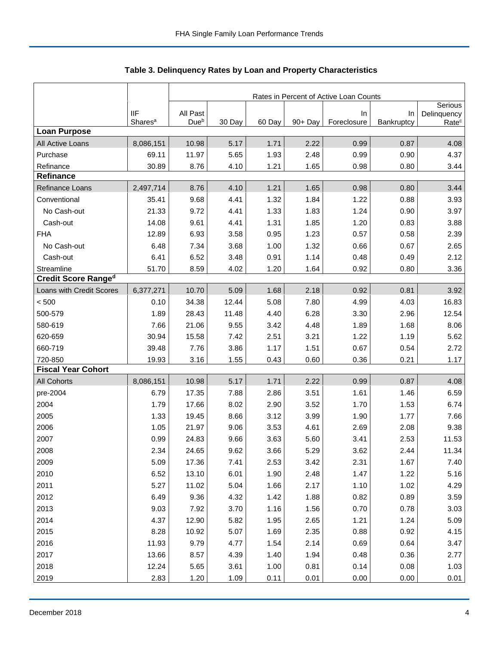|                            |                     | Rates in Percent of Active Loan Counts |        |        |         |             |            |                        |  |
|----------------------------|---------------------|----------------------------------------|--------|--------|---------|-------------|------------|------------------------|--|
|                            | <b>IIF</b>          | All Past                               |        |        |         | In          | In         | Serious<br>Delinquency |  |
|                            | Shares <sup>a</sup> | Dueb                                   | 30 Day | 60 Day | 90+ Day | Foreclosure | Bankruptcy | Rate <sup>c</sup>      |  |
| <b>Loan Purpose</b>        |                     |                                        |        |        |         |             |            |                        |  |
| All Active Loans           | 8,086,151           | 10.98                                  | 5.17   | 1.71   | 2.22    | 0.99        | 0.87       | 4.08                   |  |
| Purchase                   | 69.11               | 11.97                                  | 5.65   | 1.93   | 2.48    | 0.99        | 0.90       | 4.37                   |  |
| Refinance                  | 30.89               | 8.76                                   | 4.10   | 1.21   | 1.65    | 0.98        | 0.80       | 3.44                   |  |
| Refinance                  |                     |                                        |        |        |         |             |            |                        |  |
| Refinance Loans            | 2,497,714           | 8.76                                   | 4.10   | 1.21   | 1.65    | 0.98        | 0.80       | 3.44                   |  |
| Conventional               | 35.41               | 9.68                                   | 4.41   | 1.32   | 1.84    | 1.22        | 0.88       | 3.93                   |  |
| No Cash-out                | 21.33               | 9.72                                   | 4.41   | 1.33   | 1.83    | 1.24        | 0.90       | 3.97                   |  |
| Cash-out                   | 14.08               | 9.61                                   | 4.41   | 1.31   | 1.85    | 1.20        | 0.83       | 3.88                   |  |
| <b>FHA</b>                 | 12.89               | 6.93                                   | 3.58   | 0.95   | 1.23    | 0.57        | 0.58       | 2.39                   |  |
| No Cash-out                | 6.48                | 7.34                                   | 3.68   | 1.00   | 1.32    | 0.66        | 0.67       | 2.65                   |  |
| Cash-out                   | 6.41                | 6.52                                   | 3.48   | 0.91   | 1.14    | 0.48        | 0.49       | 2.12                   |  |
| Streamline                 | 51.70               | 8.59                                   | 4.02   | 1.20   | 1.64    | 0.92        | 0.80       | 3.36                   |  |
| <b>Credit Score Ranged</b> |                     |                                        |        |        |         |             |            |                        |  |
| Loans with Credit Scores   | 6,377,271           | 10.70                                  | 5.09   | 1.68   | 2.18    | 0.92        | 0.81       | 3.92                   |  |
| < 500                      | 0.10                | 34.38                                  | 12.44  | 5.08   | 7.80    | 4.99        | 4.03       | 16.83                  |  |
| 500-579                    | 1.89                | 28.43                                  | 11.48  | 4.40   | 6.28    | 3.30        | 2.96       | 12.54                  |  |
| 580-619                    | 7.66                | 21.06                                  | 9.55   | 3.42   | 4.48    | 1.89        | 1.68       | 8.06                   |  |
| 620-659                    | 30.94               | 15.58                                  | 7.42   | 2.51   | 3.21    | 1.22        | 1.19       | 5.62                   |  |
| 660-719                    | 39.48               | 7.76                                   | 3.86   | 1.17   | 1.51    | 0.67        | 0.54       | 2.72                   |  |
| 720-850                    | 19.93               | 3.16                                   | 1.55   | 0.43   | 0.60    | 0.36        | 0.21       | 1.17                   |  |
| <b>Fiscal Year Cohort</b>  |                     |                                        |        |        |         |             |            |                        |  |
| <b>All Cohorts</b>         | 8,086,151           | 10.98                                  | 5.17   | 1.71   | 2.22    | 0.99        | 0.87       | 4.08                   |  |
| pre-2004                   | 6.79                | 17.35                                  | 7.88   | 2.86   | 3.51    | 1.61        | 1.46       | 6.59                   |  |
| 2004                       | 1.79                | 17.66                                  | 8.02   | 2.90   | 3.52    | 1.70        | 1.53       | 6.74                   |  |
| 2005                       | 1.33                | 19.45                                  | 8.66   | 3.12   | 3.99    | 1.90        | 1.77       | 7.66                   |  |
| 2006                       | 1.05                | 21.97                                  | 9.06   | 3.53   | 4.61    | 2.69        | 2.08       | 9.38                   |  |
| 2007                       | 0.99                | 24.83                                  | 9.66   | 3.63   | 5.60    | 3.41        | 2.53       | 11.53                  |  |
| 2008                       | 2.34                | 24.65                                  | 9.62   | 3.66   | 5.29    | 3.62        | 2.44       | 11.34                  |  |
| 2009                       | 5.09                | 17.36                                  | 7.41   | 2.53   | 3.42    | 2.31        | 1.67       | 7.40                   |  |
| 2010                       | 6.52                | 13.10                                  | 6.01   | 1.90   | 2.48    | 1.47        | 1.22       | 5.16                   |  |
| 2011                       | 5.27                | 11.02                                  | 5.04   | 1.66   | 2.17    | 1.10        | 1.02       | 4.29                   |  |
| 2012                       | 6.49                | 9.36                                   | 4.32   | 1.42   | 1.88    | 0.82        | 0.89       | 3.59                   |  |
| 2013                       | 9.03                | 7.92                                   | 3.70   | 1.16   | 1.56    | 0.70        | 0.78       | 3.03                   |  |
| 2014                       | 4.37                | 12.90                                  | 5.82   | 1.95   | 2.65    | 1.21        | 1.24       | 5.09                   |  |
| 2015                       | 8.28                | 10.92                                  | 5.07   | 1.69   | 2.35    | 0.88        | 0.92       | 4.15                   |  |
| 2016                       | 11.93               | 9.79                                   | 4.77   | 1.54   | 2.14    | 0.69        | 0.64       | 3.47                   |  |
| 2017                       | 13.66               | 8.57                                   | 4.39   | 1.40   | 1.94    | 0.48        | 0.36       | 2.77                   |  |
| 2018                       | 12.24               | 5.65                                   | 3.61   | 1.00   | 0.81    | 0.14        | 0.08       | 1.03                   |  |
| 2019                       | 2.83                | 1.20                                   | 1.09   | 0.11   | 0.01    | 0.00        | 0.00       | 0.01                   |  |

Table 3. Delinquency Rates by Loan and Property Characteristics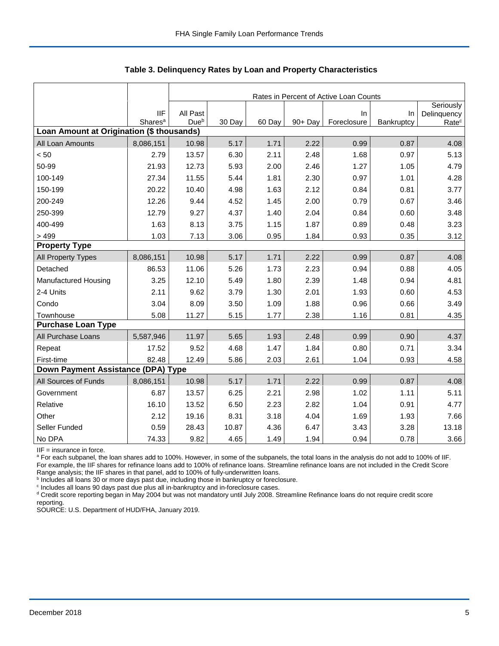|                                           |                                   |                  | Rates in Percent of Active Loan Counts |        |         |                   |                  |                                               |  |  |  |  |
|-------------------------------------------|-----------------------------------|------------------|----------------------------------------|--------|---------|-------------------|------------------|-----------------------------------------------|--|--|--|--|
|                                           | <b>IIF</b><br>Shares <sup>a</sup> | All Past<br>Dueb | 30 Day                                 | 60 Day | 90+ Day | In<br>Foreclosure | In<br>Bankruptcy | Seriously<br>Delinquency<br>Rate <sup>c</sup> |  |  |  |  |
| Loan Amount at Origination (\$ thousands) |                                   |                  |                                        |        |         |                   |                  |                                               |  |  |  |  |
| All Loan Amounts                          | 8,086,151                         | 10.98            | 5.17                                   | 1.71   | 2.22    | 0.99              | 0.87             | 4.08                                          |  |  |  |  |
| < 50                                      | 2.79                              | 13.57            | 6.30                                   | 2.11   | 2.48    | 1.68              | 0.97             | 5.13                                          |  |  |  |  |
| 50-99                                     | 21.93                             | 12.73            | 5.93                                   | 2.00   | 2.46    | 1.27              | 1.05             | 4.79                                          |  |  |  |  |
| 100-149                                   | 27.34                             | 11.55            | 5.44                                   | 1.81   | 2.30    | 0.97              | 1.01             | 4.28                                          |  |  |  |  |
| 150-199                                   | 20.22                             | 10.40            | 4.98                                   | 1.63   | 2.12    | 0.84              | 0.81             | 3.77                                          |  |  |  |  |
| 200-249                                   | 12.26                             | 9.44             | 4.52                                   | 1.45   | 2.00    | 0.79              | 0.67             | 3.46                                          |  |  |  |  |
| 250-399                                   | 12.79                             | 9.27             | 4.37                                   | 1.40   | 2.04    | 0.84              | 0.60             | 3.48                                          |  |  |  |  |
| 400-499                                   | 1.63                              | 8.13             | 3.75                                   | 1.15   | 1.87    | 0.89              | 0.48             | 3.23                                          |  |  |  |  |
| >499                                      | 1.03                              | 7.13             | 3.06                                   | 0.95   | 1.84    | 0.93              | 0.35             | 3.12                                          |  |  |  |  |
| <b>Property Type</b>                      |                                   |                  |                                        |        |         |                   |                  |                                               |  |  |  |  |
| All Property Types                        | 8,086,151                         | 10.98            | 5.17                                   | 1.71   | 2.22    | 0.99              | 0.87             | 4.08                                          |  |  |  |  |
| Detached                                  | 86.53                             | 11.06            | 5.26                                   | 1.73   | 2.23    | 0.94              | 0.88             | 4.05                                          |  |  |  |  |
| Manufactured Housing                      | 3.25                              | 12.10            | 5.49                                   | 1.80   | 2.39    | 1.48              | 0.94             | 4.81                                          |  |  |  |  |
| 2-4 Units                                 | 2.11                              | 9.62             | 3.79                                   | 1.30   | 2.01    | 1.93              | 0.60             | 4.53                                          |  |  |  |  |
| Condo                                     | 3.04                              | 8.09             | 3.50                                   | 1.09   | 1.88    | 0.96              | 0.66             | 3.49                                          |  |  |  |  |
| Townhouse                                 | 5.08                              | 11.27            | 5.15                                   | 1.77   | 2.38    | 1.16              | 0.81             | 4.35                                          |  |  |  |  |
| <b>Purchase Loan Type</b>                 |                                   |                  |                                        |        |         |                   |                  |                                               |  |  |  |  |
| All Purchase Loans                        | 5,587,946                         | 11.97            | 5.65                                   | 1.93   | 2.48    | 0.99              | 0.90             | 4.37                                          |  |  |  |  |
| Repeat                                    | 17.52                             | 9.52             | 4.68                                   | 1.47   | 1.84    | 0.80              | 0.71             | 3.34                                          |  |  |  |  |
| First-time                                | 82.48                             | 12.49            | 5.86                                   | 2.03   | 2.61    | 1.04              | 0.93             | 4.58                                          |  |  |  |  |
| Down Payment Assistance (DPA) Type        |                                   |                  |                                        |        |         |                   |                  |                                               |  |  |  |  |
| All Sources of Funds                      | 8,086,151                         | 10.98            | 5.17                                   | 1.71   | 2.22    | 0.99              | 0.87             | 4.08                                          |  |  |  |  |
| Government                                | 6.87                              | 13.57            | 6.25                                   | 2.21   | 2.98    | 1.02              | 1.11             | 5.11                                          |  |  |  |  |
| Relative                                  | 16.10                             | 13.52            | 6.50                                   | 2.23   | 2.82    | 1.04              | 0.91             | 4.77                                          |  |  |  |  |
| Other                                     | 2.12                              | 19.16            | 8.31                                   | 3.18   | 4.04    | 1.69              | 1.93             | 7.66                                          |  |  |  |  |
| Seller Funded                             | 0.59                              | 28.43            | 10.87                                  | 4.36   | 6.47    | 3.43              | 3.28             | 13.18                                         |  |  |  |  |
| No DPA                                    | 74.33                             | 9.82             | 4.65                                   | 1.49   | 1.94    | 0.94              | 0.78             | 3.66                                          |  |  |  |  |

 **Table 3. Delinquency Rates by Loan and Property Characteristics**

IIF = insurance in force.

<sup>a</sup> For each subpanel, the loan shares add to 100%. However, in some of the subpanels, the total loans in the analysis do not add to 100% of IIF. For example, the IIF shares for refinance loans add to 100% of refinance loans. Streamline refinance loans are not included in the Credit Score

Range analysis; the IIF shares in that panel, add to 100% of fully-underwritten loans.<br><sup>b</sup> Includes all loans 30 or more days past due, including those in bankruptcy or foreclosure.

<sup>c</sup> Includes all loans 90 days past due plus all in-bankruptcy and in-foreclosure cases.

<sup>d</sup> Credit score reporting began in May 2004 but was not mandatory until July 2008. Streamline Refinance loans do not require credit score reporting.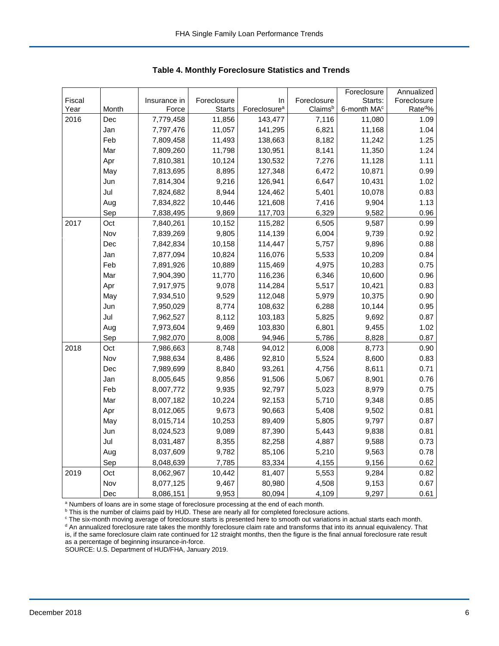|        |       |              |               |                          |             | Foreclosure             | Annualized          |
|--------|-------|--------------|---------------|--------------------------|-------------|-------------------------|---------------------|
| Fiscal |       | Insurance in | Foreclosure   | In                       | Foreclosure | Starts:                 | Foreclosure         |
| Year   | Month | Force        | <b>Starts</b> | Foreclosure <sup>a</sup> | Claimsb     | 6-month MA <sup>c</sup> | Rate <sup>d</sup> % |
| 2016   | Dec   | 7,779,458    | 11,856        | 143,477                  | 7,116       | 11,080                  | 1.09                |
|        | Jan   | 7,797,476    | 11,057        | 141,295                  | 6,821       | 11,168                  | 1.04                |
|        | Feb   | 7,809,458    | 11,493        | 138,663                  | 8,182       | 11,242                  | 1.25                |
|        | Mar   | 7,809,260    | 11,798        | 130,951                  | 8,141       | 11,350                  | 1.24                |
|        | Apr   | 7,810,381    | 10,124        | 130,532                  | 7,276       | 11,128                  | 1.11                |
|        | May   | 7,813,695    | 8,895         | 127,348                  | 6,472       | 10,871                  | 0.99                |
|        | Jun   | 7,814,304    | 9,216         | 126,941                  | 6,647       | 10,431                  | 1.02                |
|        | Jul   | 7,824,682    | 8,944         | 124,462                  | 5,401       | 10,078                  | 0.83                |
|        | Aug   | 7,834,822    | 10,446        | 121,608                  | 7,416       | 9,904                   | 1.13                |
|        | Sep   | 7,838,495    | 9,869         | 117,703                  | 6,329       | 9,582                   | 0.96                |
| 2017   | Oct   | 7,840,261    | 10,152        | 115,282                  | 6,505       | 9,587                   | 0.99                |
|        | Nov   | 7,839,269    | 9,805         | 114,139                  | 6,004       | 9,739                   | 0.92                |
|        | Dec   | 7,842,834    | 10,158        | 114,447                  | 5,757       | 9,896                   | 0.88                |
|        | Jan   | 7,877,094    | 10,824        | 116,076                  | 5,533       | 10,209                  | 0.84                |
|        | Feb   | 7,891,926    | 10,889        | 115,469                  | 4,975       | 10,283                  | 0.75                |
|        | Mar   | 7,904,390    | 11,770        | 116,236                  | 6,346       | 10,600                  | 0.96                |
|        | Apr   | 7,917,975    | 9,078         | 114,284                  | 5,517       | 10,421                  | 0.83                |
|        | May   | 7,934,510    | 9,529         | 112,048                  | 5,979       | 10,375                  | 0.90                |
|        | Jun   | 7,950,029    | 8,774         | 108,632                  | 6,288       | 10,144                  | 0.95                |
|        | Jul   | 7,962,527    | 8,112         | 103,183                  | 5,825       | 9,692                   | 0.87                |
|        | Aug   | 7,973,604    | 9,469         | 103,830                  | 6,801       | 9,455                   | 1.02                |
|        | Sep   | 7,982,070    | 8,008         | 94,946                   | 5,786       | 8,828                   | 0.87                |
| 2018   | Oct   | 7,986,663    | 8,748         | 94,012                   | 6,008       | 8,773                   | 0.90                |
|        | Nov   | 7,988,634    | 8,486         | 92,810                   | 5,524       | 8,600                   | 0.83                |
|        | Dec   | 7,989,699    | 8,840         | 93,261                   | 4,756       | 8,611                   | 0.71                |
|        | Jan   | 8,005,645    | 9,856         | 91,506                   | 5,067       | 8,901                   | 0.76                |
|        | Feb   | 8,007,772    | 9,935         | 92,797                   | 5,023       | 8,979                   | 0.75                |
|        | Mar   | 8,007,182    | 10,224        | 92,153                   | 5,710       | 9,348                   | 0.85                |
|        | Apr   | 8,012,065    | 9,673         | 90,663                   | 5,408       | 9,502                   | 0.81                |
|        | May   | 8,015,714    | 10,253        | 89,409                   | 5,805       | 9,797                   | 0.87                |
|        | Jun   | 8,024,523    | 9,089         | 87,390                   | 5,443       | 9,838                   | 0.81                |
|        | Jul   | 8,031,487    | 8,355         | 82,258                   | 4,887       | 9,588                   | 0.73                |
|        | Aug   | 8,037,609    | 9,782         | 85,106                   | 5,210       | 9,563                   | 0.78                |
|        | Sep   | 8,048,639    | 7,785         | 83,334                   | 4,155       | 9,156                   | 0.62                |
| 2019   | Oct   | 8,062,967    | 10,442        | 81,407                   | 5,553       | 9,284                   | 0.82                |
|        | Nov   | 8,077,125    | 9,467         | 80,980                   | 4,508       | 9,153                   | 0.67                |
|        | Dec   | 8,086,151    | 9,953         | 80,094                   | 4,109       | 9,297                   | 0.61                |

 **Table 4. Monthly Foreclosure Statistics and Trends**

<sup>a</sup> Numbers of loans are in some stage of foreclosure processing at the end of each month.

<sup>b</sup> This is the number of claims paid by HUD. These are nearly all for completed foreclosure actions.

<sup>c</sup> The six-month moving average of foreclosure starts is presented here to smooth out variations in actual starts each month. <sup>d</sup> An annualized foreclosure rate takes the monthly foreclosure claim rate and transforms that into its annual equivalency. That is, if the same foreclosure claim rate continued for 12 straight months, then the figure is the final annual foreclosure rate result as a percentage of beginning insurance-in-force.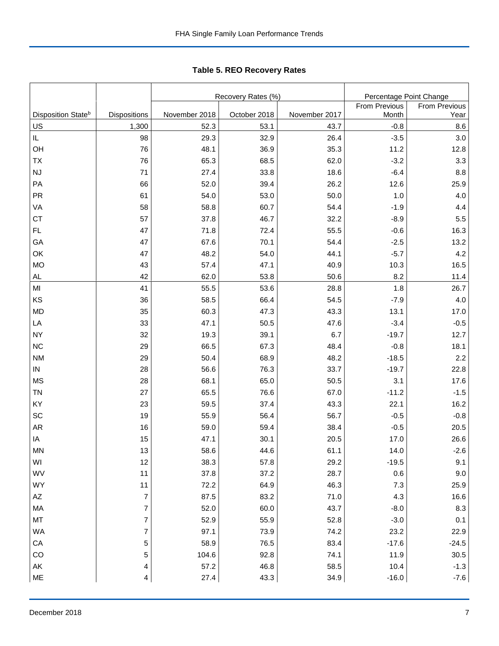|                                |                  |               | Recovery Rates (%) |               |                               | Percentage Point Change |  |  |
|--------------------------------|------------------|---------------|--------------------|---------------|-------------------------------|-------------------------|--|--|
| Disposition State <sup>b</sup> | Dispositions     | November 2018 | October 2018       | November 2017 | <b>From Previous</b><br>Month | From Previous<br>Year   |  |  |
| US                             | 1,300            | 52.3          | 53.1               | 43.7          | $-0.8$                        | 8.6                     |  |  |
| $\sf IL$                       | 98               | 29.3          | 32.9               | 26.4          | $-3.5$                        | 3.0                     |  |  |
| OH                             | 76               | 48.1          | 36.9               | 35.3          | 11.2                          | 12.8                    |  |  |
| <b>TX</b>                      | 76               | 65.3          | 68.5               | 62.0          | $-3.2$                        | 3.3                     |  |  |
| $\mathsf{N}\mathsf{J}$         | 71               | 27.4          | 33.8               | 18.6          | $-6.4$                        | 8.8                     |  |  |
| PA                             | 66               | 52.0          | 39.4               | 26.2          | 12.6                          | 25.9                    |  |  |
| PR                             | 61               | 54.0          | 53.0               | 50.0          | 1.0                           | 4.0                     |  |  |
| VA                             | 58               | 58.8          | 60.7               | 54.4          | $-1.9$                        | 4.4                     |  |  |
| <b>CT</b>                      | 57               | 37.8          | 46.7               | 32.2          | $-8.9$                        | 5.5                     |  |  |
| FL                             | 47               | 71.8          | 72.4               | 55.5          | $-0.6$                        | 16.3                    |  |  |
| GA                             | 47               | 67.6          | 70.1               | 54.4          | $-2.5$                        | 13.2                    |  |  |
| OK                             | 47               | 48.2          | 54.0               | 44.1          | $-5.7$                        | 4.2                     |  |  |
| <b>MO</b>                      | 43               | 57.4          | 47.1               | 40.9          | 10.3                          | 16.5                    |  |  |
| AL                             | 42               | 62.0          | 53.8               | 50.6          | 8.2                           | 11.4                    |  |  |
| MI                             | 41               | 55.5          | 53.6               | 28.8          | 1.8                           | 26.7                    |  |  |
| KS                             | 36               | 58.5          | 66.4               | 54.5          | $-7.9$                        | 4.0                     |  |  |
| <b>MD</b>                      | 35               | 60.3          | 47.3               | 43.3          | 13.1                          | 17.0                    |  |  |
| LA                             | 33               | 47.1          | 50.5               | 47.6          | $-3.4$                        | $-0.5$                  |  |  |
| <b>NY</b>                      | 32               | 19.3          | 39.1               | 6.7           | $-19.7$                       | 12.7                    |  |  |
| <b>NC</b>                      | 29               | 66.5          | 67.3               | 48.4          | $-0.8$                        | 18.1                    |  |  |
| <b>NM</b>                      | 29               | 50.4          | 68.9               | 48.2          | $-18.5$                       | 2.2                     |  |  |
| $\sf IN$                       | 28               | 56.6          | 76.3               | 33.7          | $-19.7$                       | 22.8                    |  |  |
| <b>MS</b>                      | 28               | 68.1          | 65.0               | 50.5          | 3.1                           | 17.6                    |  |  |
| <b>TN</b>                      | 27               | 65.5          | 76.6               | 67.0          | $-11.2$                       | $-1.5$                  |  |  |
| KY                             | 23               | 59.5          | 37.4               | 43.3          | 22.1                          | 16.2                    |  |  |
| SC                             | 19               | 55.9          | 56.4               | 56.7          | $-0.5$                        | $-0.8$                  |  |  |
| <b>AR</b>                      | 16               | 59.0          | 59.4               | 38.4          | $-0.5$                        | 20.5                    |  |  |
| IA                             | 15               | 47.1          | 30.1               | 20.5          | 17.0                          | 26.6                    |  |  |
| <b>MN</b>                      | 13               | 58.6          | 44.6               | 61.1          | 14.0                          | $-2.6$                  |  |  |
| WI                             | 12               | 38.3          | 57.8               | 29.2          | $-19.5$                       | 9.1                     |  |  |
| WV                             | 11               | 37.8          | 37.2               | 28.7          | 0.6                           | 9.0                     |  |  |
| WY                             | 11               | 72.2          | 64.9               | 46.3          | 7.3                           | 25.9                    |  |  |
| $\mathsf{A}\mathsf{Z}$         | $\boldsymbol{7}$ | 87.5          | 83.2               | 71.0          | 4.3                           | 16.6                    |  |  |
| MA                             | $\overline{7}$   | 52.0          | 60.0               | 43.7          | $-8.0$                        | 8.3                     |  |  |
| MT                             | $\overline{7}$   | 52.9          | 55.9               | 52.8          | $-3.0$                        | 0.1                     |  |  |
| <b>WA</b>                      | 7                | 97.1          | 73.9               | 74.2          | 23.2                          | 22.9                    |  |  |
| CA                             | 5                | 58.9          | 76.5               | 83.4          | $-17.6$                       | $-24.5$                 |  |  |
| CO                             | 5                | 104.6         | 92.8               | 74.1          | 11.9                          | $30.5\,$                |  |  |
| AK                             | 4                | 57.2          | 46.8               | 58.5          | 10.4                          | $-1.3$                  |  |  |
| ME                             | $\overline{4}$   | 27.4          | 43.3               | 34.9          | $-16.0$                       | $-7.6$                  |  |  |

Tabl e 5. REO R ecover y R ates **Table 5. REO Recovery Rates**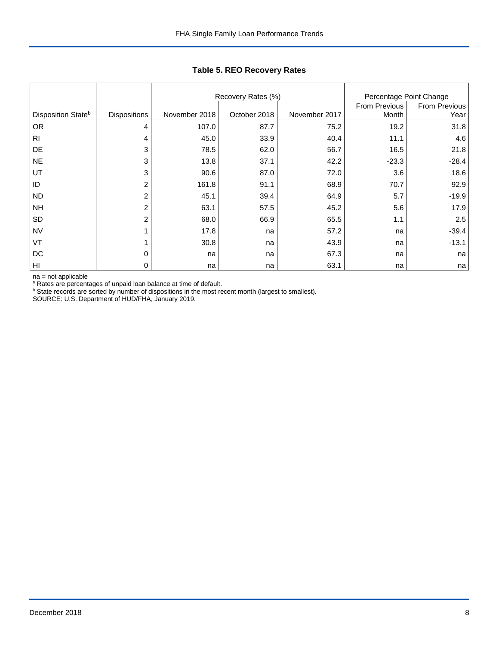|                                |                     |               | Recovery Rates (%) |                        | Percentage Point Change |         |
|--------------------------------|---------------------|---------------|--------------------|------------------------|-------------------------|---------|
| Disposition State <sup>b</sup> | <b>Dispositions</b> | November 2018 | October 2018       | From Previous<br>Month | From Previous<br>Year   |         |
| <b>OR</b>                      | 4                   | 107.0         | 87.7               | November 2017<br>75.2  | 19.2                    | 31.8    |
| R <sub>1</sub>                 | $\overline{4}$      | 45.0          | 33.9               | 40.4                   | 11.1                    | 4.6     |
| DE                             | 3                   | 78.5          | 62.0               | 56.7                   | 16.5                    | 21.8    |
| <b>NE</b>                      | 3                   | 13.8          | 37.1               | 42.2                   | $-23.3$                 | $-28.4$ |
| UT                             | 3                   | 90.6          | 87.0               | 72.0                   | 3.6                     | 18.6    |
| ID                             | 2                   | 161.8         | 91.1               | 68.9                   | 70.7                    | 92.9    |
| <b>ND</b>                      | $\overline{c}$      | 45.1          | 39.4               | 64.9                   | 5.7                     | $-19.9$ |
| <b>NH</b>                      | 2                   | 63.1          | 57.5               | 45.2                   | 5.6                     | 17.9    |
| SD                             | 2                   | 68.0          | 66.9               | 65.5                   | 1.1                     | 2.5     |
| <b>NV</b>                      |                     | 17.8          | na                 | 57.2                   | na                      | $-39.4$ |
| VT                             |                     | 30.8          | na                 | 43.9                   | na                      | $-13.1$ |
| DC                             | 0                   | na            | na                 | 67.3                   | na                      | na      |
| HI                             | 0                   | na            | na                 | 63.1                   | na                      | na      |

**Table 5. REO Recovery Rates**

na = not applicable

<sup>a</sup> Rates are percentages of unpaid loan balance at time of default.<br><sup>b</sup> State records are sorted by number of dispositions in the most recent month (largest to smallest).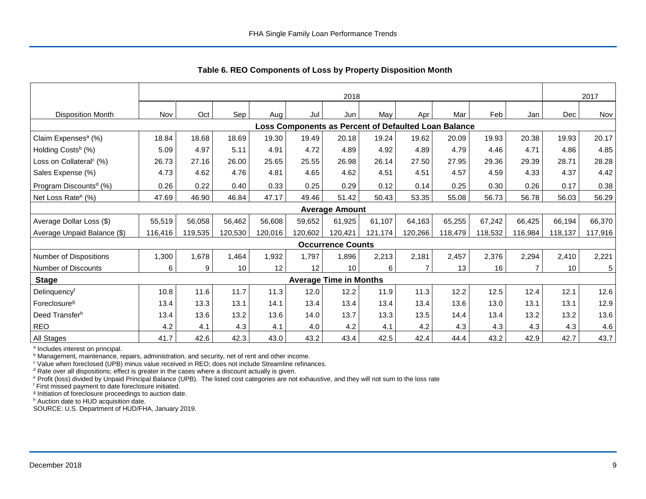|                                                      | 2018    |         |         |         |         |                               |         |         |         |         | 2017    |         |         |
|------------------------------------------------------|---------|---------|---------|---------|---------|-------------------------------|---------|---------|---------|---------|---------|---------|---------|
| <b>Disposition Month</b>                             | Nov     | Oct     | Sep     | Aug     | Jul     | Jun                           | May     | Apr     | Mar     | Feb     | Jan     | Dec     | Nov     |
| Loss Components as Percent of Defaulted Loan Balance |         |         |         |         |         |                               |         |         |         |         |         |         |         |
| Claim Expenses <sup>a</sup> (%)                      | 18.84   | 18.68   | 18.69   | 19.30   | 19.49   | 20.18                         | 19.24   | 19.62   | 20.09   | 19.93   | 20.38   | 19.93   | 20.17   |
| Holding Costs <sup>b</sup> (%)                       | 5.09    | 4.97    | 5.11    | 4.91    | 4.72    | 4.89                          | 4.92    | 4.89    | 4.79    | 4.46    | 4.71    | 4.86    | 4.85    |
| Loss on Collateral <sup>c</sup> (%)                  | 26.73   | 27.16   | 26.00   | 25.65   | 25.55   | 26.98                         | 26.14   | 27.50   | 27.95   | 29.36   | 29.39   | 28.71   | 28.28   |
| Sales Expense (%)                                    | 4.73    | 4.62    | 4.76    | 4.81    | 4.65    | 4.62                          | 4.51    | 4.51    | 4.57    | 4.59    | 4.33    | 4.37    | 4.42    |
| Program Discounts <sup>d</sup> (%)                   | 0.26    | 0.22    | 0.40    | 0.33    | 0.25    | 0.29                          | 0.12    | 0.14    | 0.25    | 0.30    | 0.26    | 0.17    | 0.38    |
| Net Loss Rate <sup>e</sup> (%)                       | 47.69   | 46.90   | 46.84   | 47.17   | 49.46   | 51.42                         | 50.43   | 53.35   | 55.08   | 56.73   | 56.78   | 56.03   | 56.29   |
|                                                      |         |         |         |         |         | <b>Average Amount</b>         |         |         |         |         |         |         |         |
| Average Dollar Loss (\$)                             | 55,519  | 56,058  | 56,462  | 56,608  | 59,652  | 61,925                        | 61,107  | 64,163  | 65,255  | 67,242  | 66,425  | 66,194  | 66,370  |
| Average Unpaid Balance (\$)                          | 116,416 | 119,535 | 120,530 | 120,016 | 120,602 | 120,421                       | 121,174 | 120,266 | 118,479 | 118,532 | 116,984 | 118,137 | 117,916 |
|                                                      |         |         |         |         |         | <b>Occurrence Counts</b>      |         |         |         |         |         |         |         |
| Number of Dispositions                               | 1,300   | ,678    | 1,464   | 1,932   | 1,797   | 1,896                         | 2,213   | 2,181   | 2,457   | 2,376   | 2,294   | 2,410   | 2,221   |
| Number of Discounts                                  | 6       | 9       | 10      | 12      | 12      | 10                            | 6       | 7       | 13      | 16      |         | 10      | 5       |
| <b>Stage</b>                                         |         |         |         |         |         | <b>Average Time in Months</b> |         |         |         |         |         |         |         |
| Delinquencyf                                         | 10.8    | 11.6    | 11.7    | 11.3    | 12.0    | 12.2                          | 11.9    | 11.3    | 12.2    | 12.5    | 12.4    | 12.1    | 12.6    |
| Foreclosure <sup>g</sup>                             | 13.4    | 13.3    | 13.1    | 14.1    | 13.4    | 13.4                          | 13.4    | 13.4    | 13.6    | 13.0    | 13.1    | 13.1    | 12.9    |
| Deed Transferh                                       | 13.4    | 13.6    | 13.2    | 13.6    | 14.0    | 13.7                          | 13.3    | 13.5    | 14.4    | 13.4    | 13.2    | 13.2    | 13.6    |
| <b>REO</b>                                           | 4.2     | 4.1     | 4.3     | 4.1     | 4.0     | 4.2                           | 4.1     | 4.2     | 4.3     | 4.3     | 4.3     | 4.3     | 4.6     |
| All Stages                                           | 41.7    | 42.6    | 42.3    | 43.0    | 43.2    | 43.4                          | 42.5    | 42.4    | 44.4    | 43.2    | 42.9    | 42.7    | 43.7    |

 **Table 6. REO Components of Loss by Property Disposition Month**

<sup>a</sup> Includes interest on principal.

<sup>b</sup> Management, maintenance, repairs, administration, and security, net of rent and other income.

c Value when foreclosed (UPB) minus value received in REO; does not include Streamline refinances.

<sup>d</sup> Rate over all dispositions; effect is greater in the cases where a discount actually is given.

e Profit (loss) divided by Unpaid Principal Balance (UPB). The listed cost categories are not exhaustive, and they will not sum to the loss rate

f First missed payment to date foreclosure initiated.

<sup>g</sup> Initiation of foreclosure proceedings to auction date.

h Auction date to HUD acquisition date.